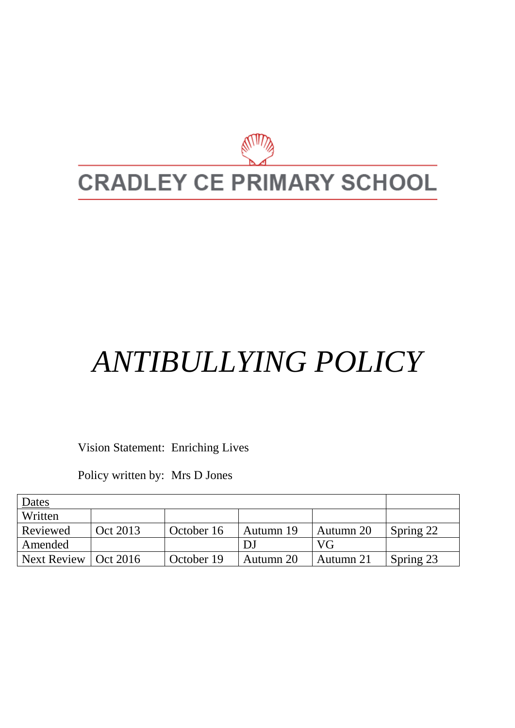

# *ANTIBULLYING POLICY*

Vision Statement: Enriching Lives

Policy written by: Mrs D Jones

| Dates                  |          |            |           |           |           |
|------------------------|----------|------------|-----------|-----------|-----------|
| Written                |          |            |           |           |           |
| Reviewed               | Oct 2013 | October 16 | Autumn 19 | Autumn 20 | Spring 22 |
| Amended                |          |            |           | VG        |           |
| Next Review   Oct 2016 |          | October 19 | Autumn 20 | Autumn 21 | Spring 23 |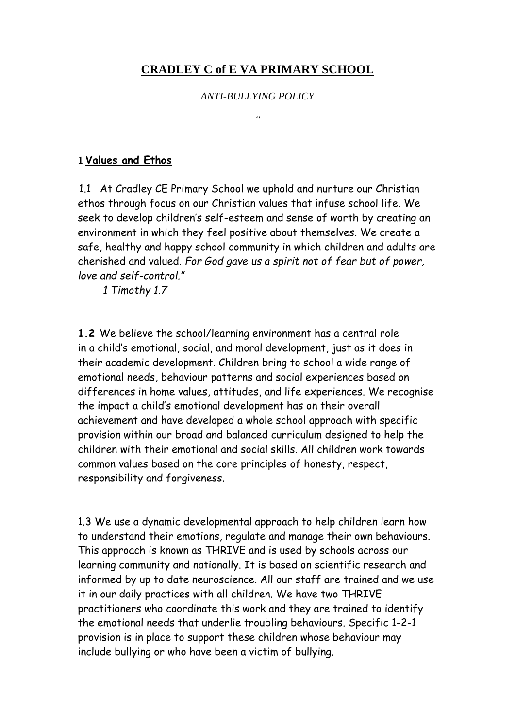# **CRADLEY C of E VA PRIMARY SCHOOL**

#### *ANTI-BULLYING POLICY*

*"*

#### **1 Values and Ethos**

1.1At Cradley CE Primary School we uphold and nurture our Christian ethos through focus on our Christian values that infuse school life. We seek to develop children's self-esteem and sense of worth by creating an environment in which they feel positive about themselves. We create a safe, healthy and happy school community in which children and adults are cherished and valued. *For God gave us a spirit not of fear but of power, love and self-control."* 

 *1 Timothy 1.7*

**1.2** We believe the school/learning environment has a central role in a child's emotional, social, and moral development, just as it does in their academic development. Children bring to school a wide range of emotional needs, behaviour patterns and social experiences based on differences in home values, attitudes, and life experiences. We recognise the impact a child's emotional development has on their overall achievement and have developed a whole school approach with specific provision within our broad and balanced curriculum designed to help the children with their emotional and social skills. All children work towards common values based on the core principles of honesty, respect, responsibility and forgiveness.

1.3 We use a dynamic developmental approach to help children learn how to understand their emotions, regulate and manage their own behaviours. This approach is known as THRIVE and is used by schools across our learning community and nationally. It is based on scientific research and informed by up to date neuroscience. All our staff are trained and we use it in our daily practices with all children. We have two THRIVE practitioners who coordinate this work and they are trained to identify the emotional needs that underlie troubling behaviours. Specific 1-2-1 provision is in place to support these children whose behaviour may include bullying or who have been a victim of bullying.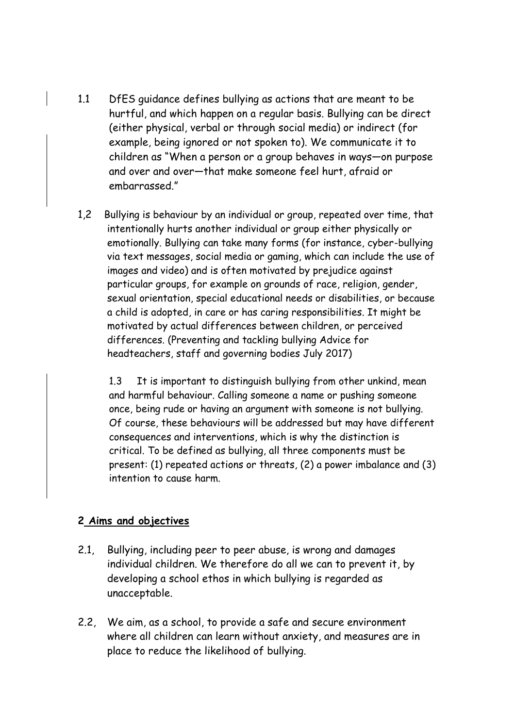- 1.1 DfES guidance defines bullying as actions that are meant to be hurtful, and which happen on a regular basis. Bullying can be direct (either physical, verbal or through social media) or indirect (for example, being ignored or not spoken to). We communicate it to children as "When a person or a group behaves in ways—on purpose and over and over—that make someone feel hurt, afraid or embarrassed."
- 1,2 Bullying is behaviour by an individual or group, repeated over time, that intentionally hurts another individual or group either physically or emotionally. Bullying can take many forms (for instance, cyber-bullying via text messages, social media or gaming, which can include the use of images and video) and is often motivated by prejudice against particular groups, for example on grounds of race, religion, gender, sexual orientation, special educational needs or disabilities, or because a child is adopted, in care or has caring responsibilities. It might be motivated by actual differences between children, or perceived differences. (Preventing and tackling bullying Advice for headteachers, staff and governing bodies July 2017)

1.3 It is important to distinguish bullying from other unkind, mean and harmful behaviour. Calling someone a name or pushing someone once, being rude or having an argument with someone is not bullying. Of course, these behaviours will be addressed but may have different consequences and interventions, which is why the distinction is critical. To be defined as bullying, all three components must be present: (1) repeated actions or threats, (2) a power imbalance and (3) intention to cause harm.

## **2 Aims and objectives**

- 2.1, Bullying, including peer to peer abuse, is wrong and damages individual children. We therefore do all we can to prevent it, by developing a school ethos in which bullying is regarded as unacceptable.
- 2.2, We aim, as a school, to provide a safe and secure environment where all children can learn without anxiety, and measures are in place to reduce the likelihood of bullying.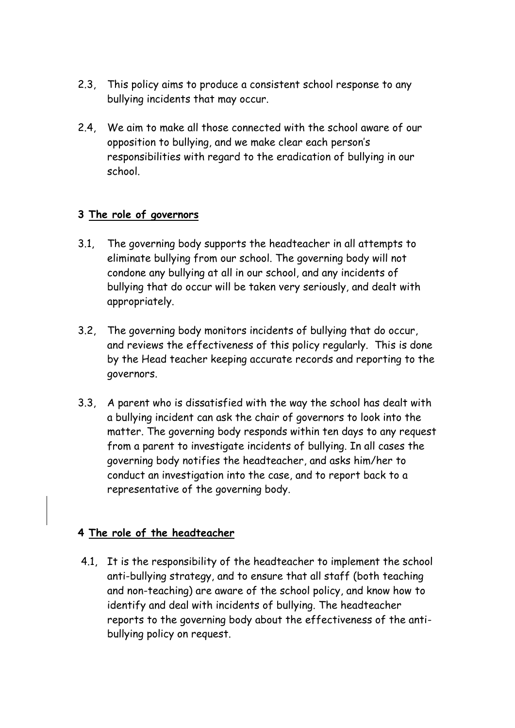- 2.3, This policy aims to produce a consistent school response to any bullying incidents that may occur.
- 2.4, We aim to make all those connected with the school aware of our opposition to bullying, and we make clear each person's responsibilities with regard to the eradication of bullying in our school.

# **3 The role of governors**

- 3.1, The governing body supports the headteacher in all attempts to eliminate bullying from our school. The governing body will not condone any bullying at all in our school, and any incidents of bullying that do occur will be taken very seriously, and dealt with appropriately.
- 3.2, The governing body monitors incidents of bullying that do occur, and reviews the effectiveness of this policy regularly. This is done by the Head teacher keeping accurate records and reporting to the governors.
- 3.3, A parent who is dissatisfied with the way the school has dealt with a bullying incident can ask the chair of governors to look into the matter. The governing body responds within ten days to any request from a parent to investigate incidents of bullying. In all cases the governing body notifies the headteacher, and asks him/her to conduct an investigation into the case, and to report back to a representative of the governing body.

## **4 The role of the headteacher**

4.1, It is the responsibility of the headteacher to implement the school anti-bullying strategy, and to ensure that all staff (both teaching and non-teaching) are aware of the school policy, and know how to identify and deal with incidents of bullying. The headteacher reports to the governing body about the effectiveness of the antibullying policy on request.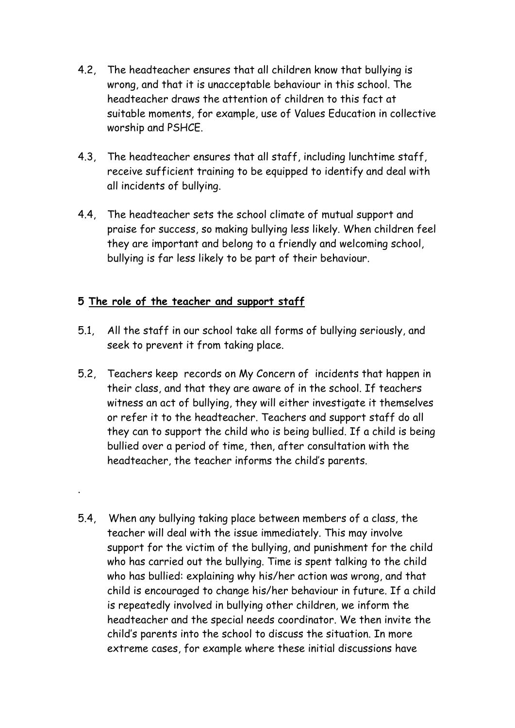- 4.2, The headteacher ensures that all children know that bullying is wrong, and that it is unacceptable behaviour in this school. The headteacher draws the attention of children to this fact at suitable moments, for example, use of Values Education in collective worship and PSHCE.
- 4.3, The headteacher ensures that all staff, including lunchtime staff, receive sufficient training to be equipped to identify and deal with all incidents of bullying.
- 4.4, The headteacher sets the school climate of mutual support and praise for success, so making bullying less likely. When children feel they are important and belong to a friendly and welcoming school, bullying is far less likely to be part of their behaviour.

# **5 The role of the teacher and support staff**

.

- 5.1, All the staff in our school take all forms of bullying seriously, and seek to prevent it from taking place.
- 5.2, Teachers keep records on My Concern of incidents that happen in their class, and that they are aware of in the school. If teachers witness an act of bullying, they will either investigate it themselves or refer it to the headteacher. Teachers and support staff do all they can to support the child who is being bullied. If a child is being bullied over a period of time, then, after consultation with the headteacher, the teacher informs the child's parents.
- 5.4, When any bullying taking place between members of a class, the teacher will deal with the issue immediately. This may involve support for the victim of the bullying, and punishment for the child who has carried out the bullying. Time is spent talking to the child who has bullied: explaining why his/her action was wrong, and that child is encouraged to change his/her behaviour in future. If a child is repeatedly involved in bullying other children, we inform the headteacher and the special needs coordinator. We then invite the child's parents into the school to discuss the situation. In more extreme cases, for example where these initial discussions have